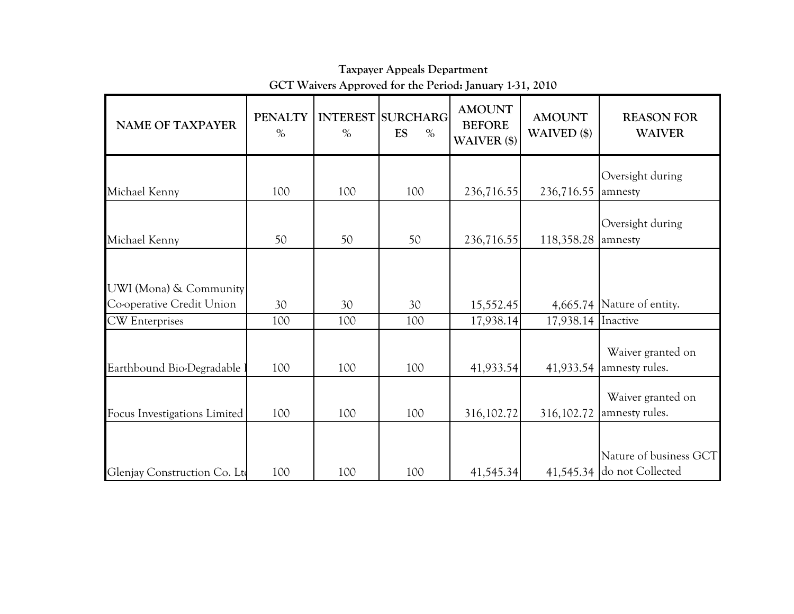| <b>NAME OF TAXPAYER</b>                             | <b>PENALTY</b><br>$\%$ | $\%$ | <b>INTEREST SURCHARG</b><br><b>ES</b><br>$\%$ | <b>AMOUNT</b><br><b>BEFORE</b><br>WAIVER (\$) | <b>AMOUNT</b><br>WAIVED (\$) | <b>REASON FOR</b><br><b>WAIVER</b>                   |
|-----------------------------------------------------|------------------------|------|-----------------------------------------------|-----------------------------------------------|------------------------------|------------------------------------------------------|
|                                                     |                        |      |                                               |                                               |                              | Oversight during                                     |
| Michael Kenny                                       | 100                    | 100  | 100                                           | 236,716.55                                    | 236,716.55                   | amnesty                                              |
| Michael Kenny                                       | 50                     | 50   | 50                                            | 236,716.55                                    | 118,358.28                   | Oversight during<br>amnesty                          |
| UWI (Mona) & Community<br>Co-operative Credit Union | 30                     | 30   | 30                                            | 15,552.45                                     |                              | 4,665.74 Nature of entity.                           |
| <b>CW</b> Enterprises                               | 100                    | 100  | 100                                           | 17,938.14                                     | 17,938.14 Inactive           |                                                      |
| Earthbound Bio-Degradable                           | 100                    | 100  | 100                                           | 41,933.54                                     |                              | Waiver granted on<br>41,933.54 amnesty rules.        |
| Focus Investigations Limited                        | 100                    | 100  | 100                                           | 316, 102.72                                   | 316,102.72                   | Waiver granted on<br>amnesty rules.                  |
| Glenjay Construction Co. Lto                        | 100                    | 100  | 100                                           | 41,545.34                                     |                              | Nature of business GCT<br>41,545.34 do not Collected |

Taxpayer Appeals DepartmentGCT Waivers Approved for the Period: January 1-31, 2010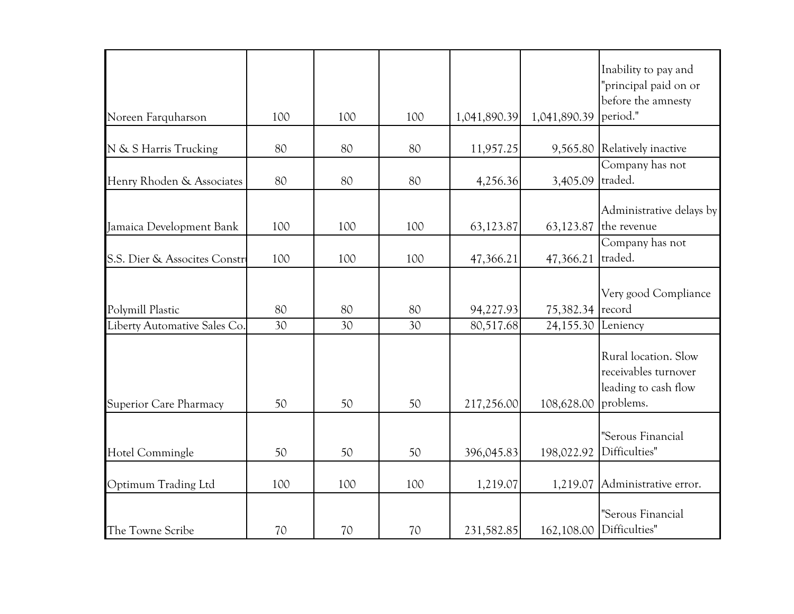| Noreen Farquharson            | 100 | 100 | 100 | 1,041,890.39 | 1,041,890.39     | Inability to pay and<br>"principal paid on or<br>before the amnesty<br>period."   |
|-------------------------------|-----|-----|-----|--------------|------------------|-----------------------------------------------------------------------------------|
|                               |     |     |     |              |                  | Relatively inactive                                                               |
| N & S Harris Trucking         | 80  | 80  | 80  | 11,957.25    | 9,565.80         | Company has not                                                                   |
| Henry Rhoden & Associates     | 80  | 80  | 80  | 4,256.36     | 3,405.09         | traded.                                                                           |
| Jamaica Development Bank      | 100 | 100 | 100 | 63,123.87    | 63,123.87        | Administrative delays by<br>the revenue                                           |
| S.S. Dier & Assocites Constr  | 100 | 100 | 100 | 47,366.21    | 47,366.21        | Company has not<br>traded.                                                        |
| Polymill Plastic              | 80  | 80  | 80  | 94,227.93    | 75,382.34 record | Very good Compliance                                                              |
| Liberty Automative Sales Co.  | 30  | 30  | 30  | 80,517.68    | 24,155.30        | Leniency                                                                          |
| <b>Superior Care Pharmacy</b> | 50  | 50  | 50  | 217,256.00   | 108,628.00       | Rural location. Slow<br>receivables turnover<br>leading to cash flow<br>problems. |
| Hotel Commingle               | 50  | 50  | 50  | 396,045.83   | 198,022.92       | "Serous Financial<br>Difficulties"                                                |
| Optimum Trading Ltd           | 100 | 100 | 100 | 1,219.07     | 1,219.07         | Administrative error.                                                             |
| The Towne Scribe              | 70  | 70  | 70  | 231,582.85   | 162,108.00       | "Serous Financial<br>Difficulties"                                                |